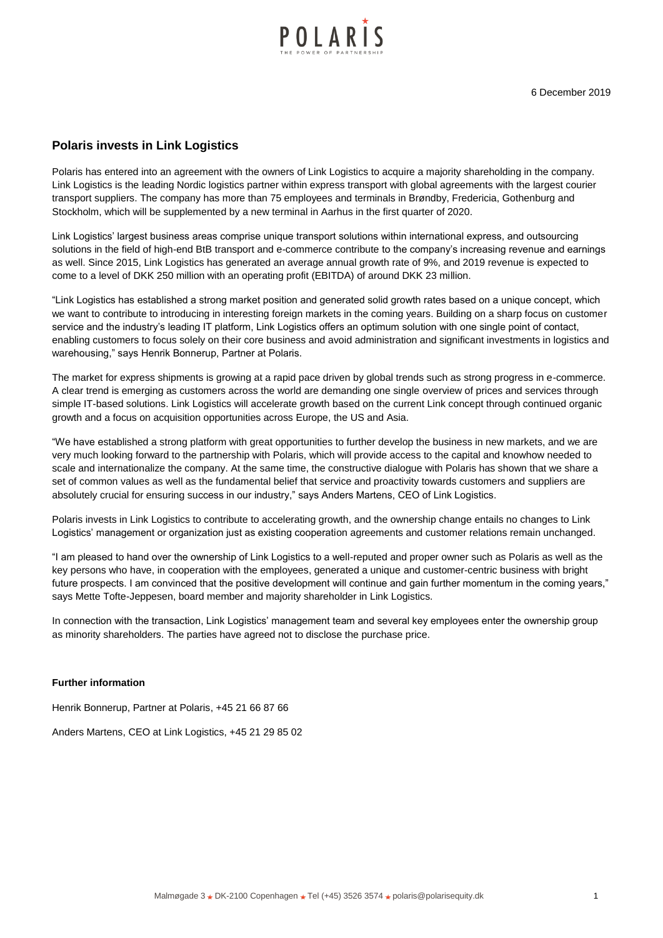

## **Polaris invests in Link Logistics**

Polaris has entered into an agreement with the owners of Link Logistics to acquire a majority shareholding in the company. Link Logistics is the leading Nordic logistics partner within express transport with global agreements with the largest courier transport suppliers. The company has more than 75 employees and terminals in Brøndby, Fredericia, Gothenburg and Stockholm, which will be supplemented by a new terminal in Aarhus in the first quarter of 2020.

Link Logistics' largest business areas comprise unique transport solutions within international express, and outsourcing solutions in the field of high-end BtB transport and e-commerce contribute to the company's increasing revenue and earnings as well. Since 2015, Link Logistics has generated an average annual growth rate of 9%, and 2019 revenue is expected to come to a level of DKK 250 million with an operating profit (EBITDA) of around DKK 23 million.

"Link Logistics has established a strong market position and generated solid growth rates based on a unique concept, which we want to contribute to introducing in interesting foreign markets in the coming years. Building on a sharp focus on customer service and the industry's leading IT platform, Link Logistics offers an optimum solution with one single point of contact, enabling customers to focus solely on their core business and avoid administration and significant investments in logistics and warehousing," says Henrik Bonnerup, Partner at Polaris.

The market for express shipments is growing at a rapid pace driven by global trends such as strong progress in e-commerce. A clear trend is emerging as customers across the world are demanding one single overview of prices and services through simple IT-based solutions. Link Logistics will accelerate growth based on the current Link concept through continued organic growth and a focus on acquisition opportunities across Europe, the US and Asia.

"We have established a strong platform with great opportunities to further develop the business in new markets, and we are very much looking forward to the partnership with Polaris, which will provide access to the capital and knowhow needed to scale and internationalize the company. At the same time, the constructive dialogue with Polaris has shown that we share a set of common values as well as the fundamental belief that service and proactivity towards customers and suppliers are absolutely crucial for ensuring success in our industry," says Anders Martens, CEO of Link Logistics.

Polaris invests in Link Logistics to contribute to accelerating growth, and the ownership change entails no changes to Link Logistics' management or organization just as existing cooperation agreements and customer relations remain unchanged.

"I am pleased to hand over the ownership of Link Logistics to a well-reputed and proper owner such as Polaris as well as the key persons who have, in cooperation with the employees, generated a unique and customer-centric business with bright future prospects. I am convinced that the positive development will continue and gain further momentum in the coming years," says Mette Tofte-Jeppesen, board member and majority shareholder in Link Logistics.

In connection with the transaction, Link Logistics' management team and several key employees enter the ownership group as minority shareholders. The parties have agreed not to disclose the purchase price.

## **Further information**

Henrik Bonnerup, Partner at Polaris, +45 21 66 87 66

Anders Martens, CEO at Link Logistics, +45 21 29 85 02